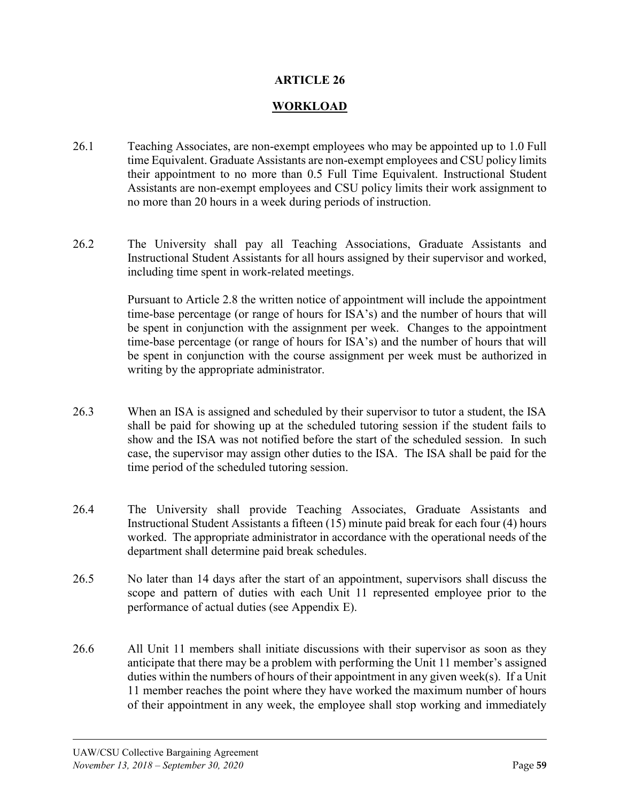## **ARTICLE 26**

## **WORKLOAD**

- 26.1 Teaching Associates, are non-exempt employees who may be appointed up to 1.0 Full time Equivalent. Graduate Assistants are non-exempt employees and CSU policy limits their appointment to no more than 0.5 Full Time Equivalent. Instructional Student Assistants are non-exempt employees and CSU policy limits their work assignment to no more than 20 hours in a week during periods of instruction.
- 26.2 The University shall pay all Teaching Associations, Graduate Assistants and Instructional Student Assistants for all hours assigned by their supervisor and worked, including time spent in work-related meetings.

Pursuant to Article 2.8 the written notice of appointment will include the appointment time-base percentage (or range of hours for ISA's) and the number of hours that will be spent in conjunction with the assignment per week. Changes to the appointment time-base percentage (or range of hours for ISA's) and the number of hours that will be spent in conjunction with the course assignment per week must be authorized in writing by the appropriate administrator.

- 26.3 When an ISA is assigned and scheduled by their supervisor to tutor a student, the ISA shall be paid for showing up at the scheduled tutoring session if the student fails to show and the ISA was not notified before the start of the scheduled session. In such case, the supervisor may assign other duties to the ISA. The ISA shall be paid for the time period of the scheduled tutoring session.
- 26.4 The University shall provide Teaching Associates, Graduate Assistants and Instructional Student Assistants a fifteen (15) minute paid break for each four (4) hours worked. The appropriate administrator in accordance with the operational needs of the department shall determine paid break schedules.
- 26.5 No later than 14 days after the start of an appointment, supervisors shall discuss the scope and pattern of duties with each Unit 11 represented employee prior to the performance of actual duties (see Appendix E).
- 26.6 All Unit 11 members shall initiate discussions with their supervisor as soon as they anticipate that there may be a problem with performing the Unit 11 member's assigned duties within the numbers of hours of their appointment in any given week(s). If a Unit 11 member reaches the point where they have worked the maximum number of hours of their appointment in any week, the employee shall stop working and immediately